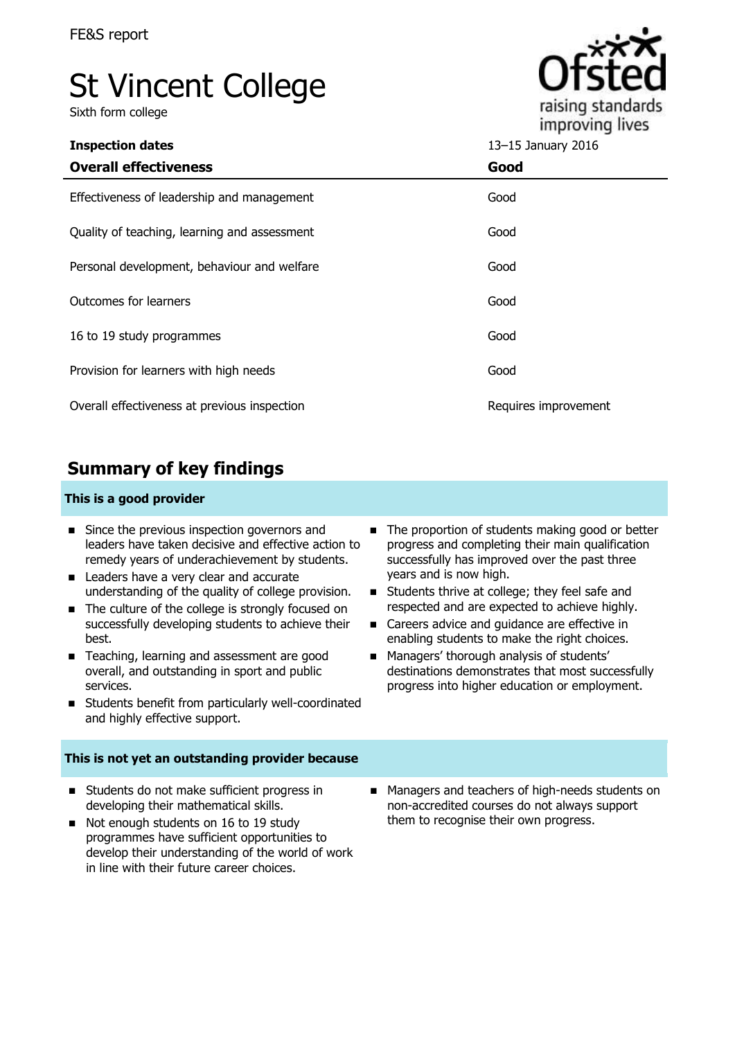# St Vincent College

Sixth form college



**Inspection dates** 13–15 January 2016

| <b>Overall effectiveness</b>                 | Good                 |
|----------------------------------------------|----------------------|
| Effectiveness of leadership and management   | Good                 |
| Quality of teaching, learning and assessment | Good                 |
| Personal development, behaviour and welfare  | Good                 |
| Outcomes for learners                        | Good                 |
| 16 to 19 study programmes                    | Good                 |
| Provision for learners with high needs       | Good                 |
| Overall effectiveness at previous inspection | Requires improvement |

## **Summary of key findings**

#### **This is a good provider**

- Since the previous inspection governors and leaders have taken decisive and effective action to remedy years of underachievement by students.
- Leaders have a very clear and accurate understanding of the quality of college provision.
- The culture of the college is strongly focused on successfully developing students to achieve their best.
- Teaching, learning and assessment are good overall, and outstanding in sport and public services.
- Students benefit from particularly well-coordinated and highly effective support.

#### **This is not yet an outstanding provider because**

- Students do not make sufficient progress in developing their mathematical skills.
- Not enough students on 16 to 19 study programmes have sufficient opportunities to develop their understanding of the world of work in line with their future career choices.
- The proportion of students making good or better progress and completing their main qualification successfully has improved over the past three years and is now high.
- Students thrive at college; they feel safe and respected and are expected to achieve highly.
- Careers advice and quidance are effective in enabling students to make the right choices.
- **Managers' thorough analysis of students'** destinations demonstrates that most successfully progress into higher education or employment.
- Managers and teachers of high-needs students on non-accredited courses do not always support them to recognise their own progress.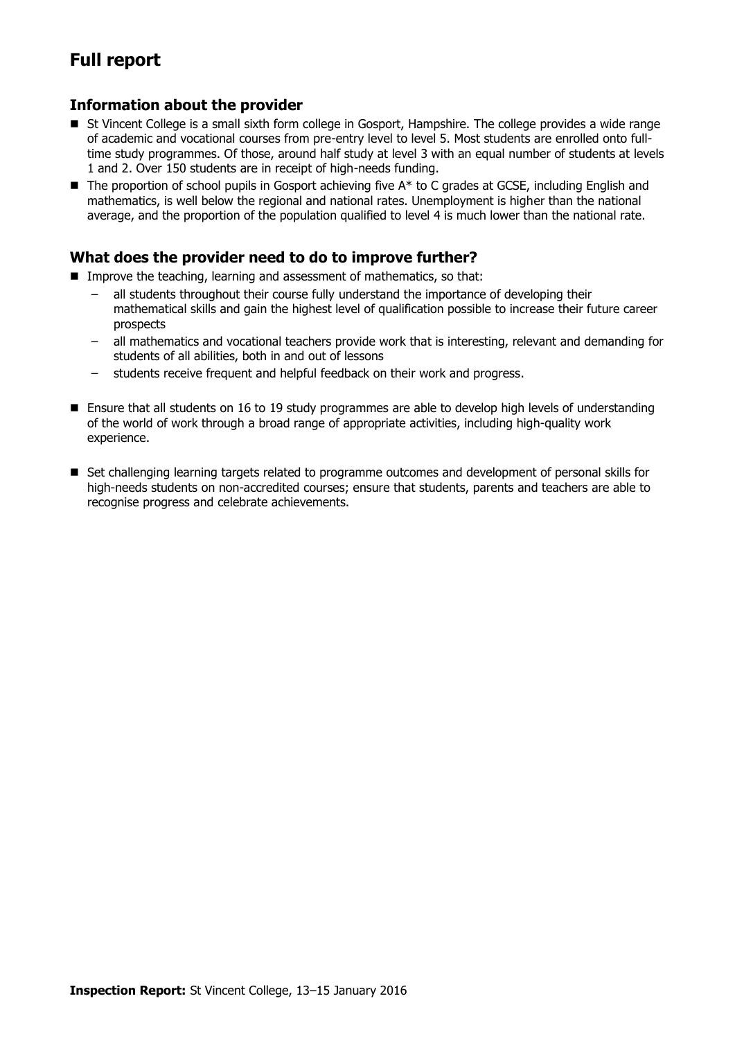## **Full report**

### **Information about the provider**

- St Vincent College is a small sixth form college in Gosport, Hampshire. The college provides a wide range of academic and vocational courses from pre-entry level to level 5. Most students are enrolled onto fulltime study programmes. Of those, around half study at level 3 with an equal number of students at levels 1 and 2. Over 150 students are in receipt of high-needs funding.
- $\blacksquare$  The proportion of school pupils in Gosport achieving five  $A^*$  to C grades at GCSE, including English and mathematics, is well below the regional and national rates. Unemployment is higher than the national average, and the proportion of the population qualified to level 4 is much lower than the national rate.

#### **What does the provider need to do to improve further?**

- **Improve the teaching, learning and assessment of mathematics, so that:** 
	- all students throughout their course fully understand the importance of developing their mathematical skills and gain the highest level of qualification possible to increase their future career prospects
	- all mathematics and vocational teachers provide work that is interesting, relevant and demanding for students of all abilities, both in and out of lessons
	- students receive frequent and helpful feedback on their work and progress.
- Ensure that all students on 16 to 19 study programmes are able to develop high levels of understanding of the world of work through a broad range of appropriate activities, including high-quality work experience.
- Set challenging learning targets related to programme outcomes and development of personal skills for high-needs students on non-accredited courses; ensure that students, parents and teachers are able to recognise progress and celebrate achievements.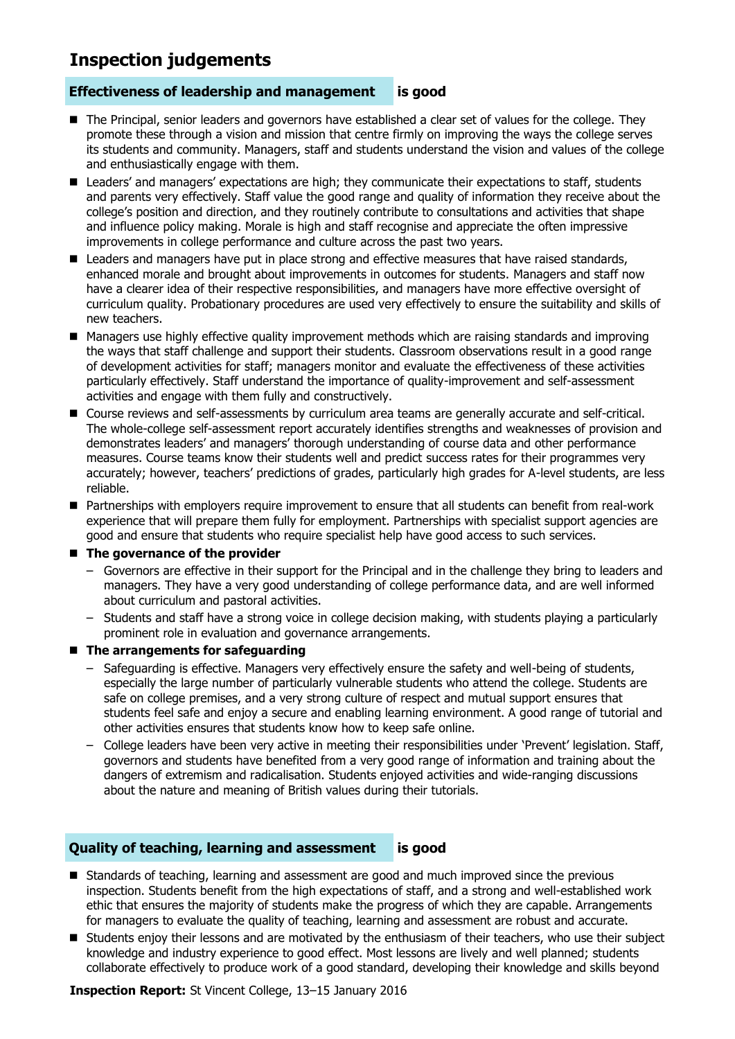### **Inspection judgements**

#### **Effectiveness of leadership and management is good**

- The Principal, senior leaders and governors have established a clear set of values for the college. They promote these through a vision and mission that centre firmly on improving the ways the college serves its students and community. Managers, staff and students understand the vision and values of the college and enthusiastically engage with them.
- Leaders' and managers' expectations are high; they communicate their expectations to staff, students and parents very effectively. Staff value the good range and quality of information they receive about the college's position and direction, and they routinely contribute to consultations and activities that shape and influence policy making. Morale is high and staff recognise and appreciate the often impressive improvements in college performance and culture across the past two years.
- Leaders and managers have put in place strong and effective measures that have raised standards, enhanced morale and brought about improvements in outcomes for students. Managers and staff now have a clearer idea of their respective responsibilities, and managers have more effective oversight of curriculum quality. Probationary procedures are used very effectively to ensure the suitability and skills of new teachers.
- Managers use highly effective quality improvement methods which are raising standards and improving the ways that staff challenge and support their students. Classroom observations result in a good range of development activities for staff; managers monitor and evaluate the effectiveness of these activities particularly effectively. Staff understand the importance of quality-improvement and self-assessment activities and engage with them fully and constructively.
- Course reviews and self-assessments by curriculum area teams are generally accurate and self-critical. The whole-college self-assessment report accurately identifies strengths and weaknesses of provision and demonstrates leaders' and managers' thorough understanding of course data and other performance measures. Course teams know their students well and predict success rates for their programmes very accurately; however, teachers' predictions of grades, particularly high grades for A-level students, are less reliable.
- Partnerships with employers require improvement to ensure that all students can benefit from real-work experience that will prepare them fully for employment. Partnerships with specialist support agencies are good and ensure that students who require specialist help have good access to such services.

#### ■ The governance of the provider

- Governors are effective in their support for the Principal and in the challenge they bring to leaders and managers. They have a very good understanding of college performance data, and are well informed about curriculum and pastoral activities.
- Students and staff have a strong voice in college decision making, with students playing a particularly prominent role in evaluation and governance arrangements.

#### **The arrangements for safeguarding**

- Safeguarding is effective. Managers very effectively ensure the safety and well-being of students, especially the large number of particularly vulnerable students who attend the college. Students are safe on college premises, and a very strong culture of respect and mutual support ensures that students feel safe and enjoy a secure and enabling learning environment. A good range of tutorial and other activities ensures that students know how to keep safe online.
- College leaders have been very active in meeting their responsibilities under 'Prevent' legislation. Staff, governors and students have benefited from a very good range of information and training about the dangers of extremism and radicalisation. Students enjoyed activities and wide-ranging discussions about the nature and meaning of British values during their tutorials.

#### **Quality of teaching, learning and assessment is good**

- **Standards of teaching, learning and assessment are good and much improved since the previous** inspection. Students benefit from the high expectations of staff, and a strong and well-established work ethic that ensures the majority of students make the progress of which they are capable. Arrangements for managers to evaluate the quality of teaching, learning and assessment are robust and accurate.
- **Students enjoy their lessons and are motivated by the enthusiasm of their teachers, who use their subject** knowledge and industry experience to good effect. Most lessons are lively and well planned; students collaborate effectively to produce work of a good standard, developing their knowledge and skills beyond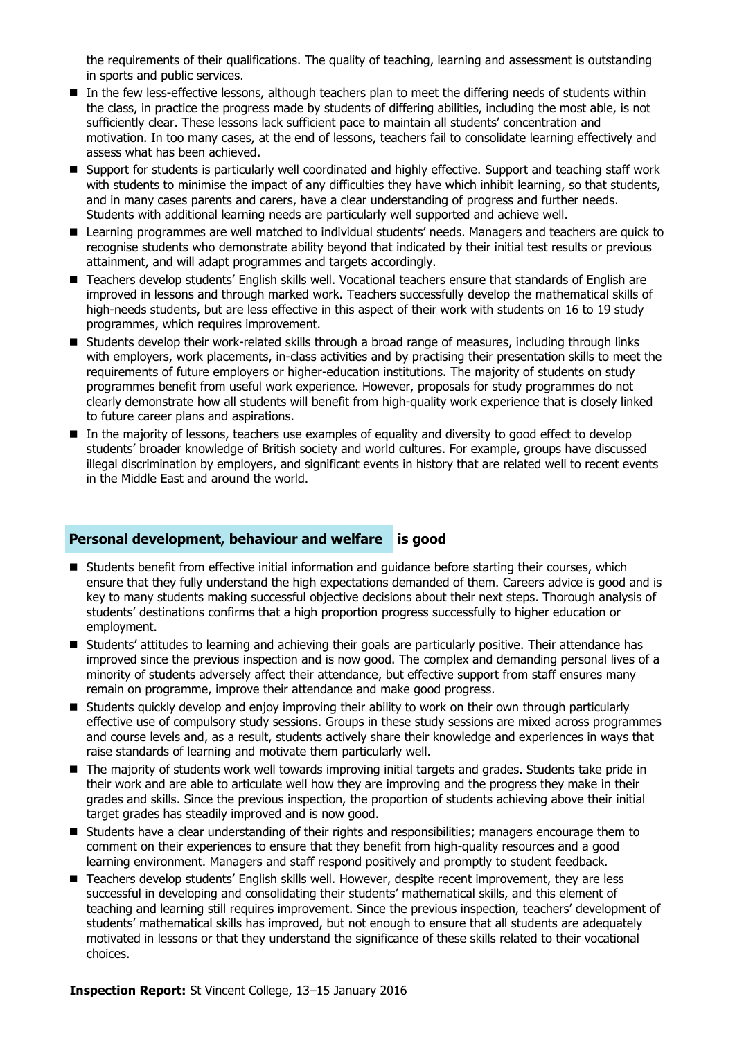the requirements of their qualifications. The quality of teaching, learning and assessment is outstanding in sports and public services.

- In the few less-effective lessons, although teachers plan to meet the differing needs of students within the class, in practice the progress made by students of differing abilities, including the most able, is not sufficiently clear. These lessons lack sufficient pace to maintain all students' concentration and motivation. In too many cases, at the end of lessons, teachers fail to consolidate learning effectively and assess what has been achieved.
- Support for students is particularly well coordinated and highly effective. Support and teaching staff work with students to minimise the impact of any difficulties they have which inhibit learning, so that students, and in many cases parents and carers, have a clear understanding of progress and further needs. Students with additional learning needs are particularly well supported and achieve well.
- Learning programmes are well matched to individual students' needs. Managers and teachers are quick to recognise students who demonstrate ability beyond that indicated by their initial test results or previous attainment, and will adapt programmes and targets accordingly.
- Teachers develop students' English skills well. Vocational teachers ensure that standards of English are improved in lessons and through marked work. Teachers successfully develop the mathematical skills of high-needs students, but are less effective in this aspect of their work with students on 16 to 19 study programmes, which requires improvement.
- Students develop their work-related skills through a broad range of measures, including through links with employers, work placements, in-class activities and by practising their presentation skills to meet the requirements of future employers or higher-education institutions. The majority of students on study programmes benefit from useful work experience. However, proposals for study programmes do not clearly demonstrate how all students will benefit from high-quality work experience that is closely linked to future career plans and aspirations.
- In the majority of lessons, teachers use examples of equality and diversity to good effect to develop students' broader knowledge of British society and world cultures. For example, groups have discussed illegal discrimination by employers, and significant events in history that are related well to recent events in the Middle East and around the world.

#### **Personal development, behaviour and welfare is good**

- **Students benefit from effective initial information and quidance before starting their courses, which** ensure that they fully understand the high expectations demanded of them. Careers advice is good and is key to many students making successful objective decisions about their next steps. Thorough analysis of students' destinations confirms that a high proportion progress successfully to higher education or employment.
- **Students' attitudes to learning and achieving their goals are particularly positive. Their attendance has alled that in the strate has alled that in the strategy of the strategy of the strategy of strategy of strategy of** improved since the previous inspection and is now good. The complex and demanding personal lives of a minority of students adversely affect their attendance, but effective support from staff ensures many remain on programme, improve their attendance and make good progress.
- Students quickly develop and enjoy improving their ability to work on their own through particularly effective use of compulsory study sessions. Groups in these study sessions are mixed across programmes and course levels and, as a result, students actively share their knowledge and experiences in ways that raise standards of learning and motivate them particularly well.
- The majority of students work well towards improving initial targets and grades. Students take pride in their work and are able to articulate well how they are improving and the progress they make in their grades and skills. Since the previous inspection, the proportion of students achieving above their initial target grades has steadily improved and is now good.
- Students have a clear understanding of their rights and responsibilities; managers encourage them to comment on their experiences to ensure that they benefit from high-quality resources and a good learning environment. Managers and staff respond positively and promptly to student feedback.
- Teachers develop students' English skills well. However, despite recent improvement, they are less successful in developing and consolidating their students' mathematical skills, and this element of teaching and learning still requires improvement. Since the previous inspection, teachers' development of students' mathematical skills has improved, but not enough to ensure that all students are adequately motivated in lessons or that they understand the significance of these skills related to their vocational choices.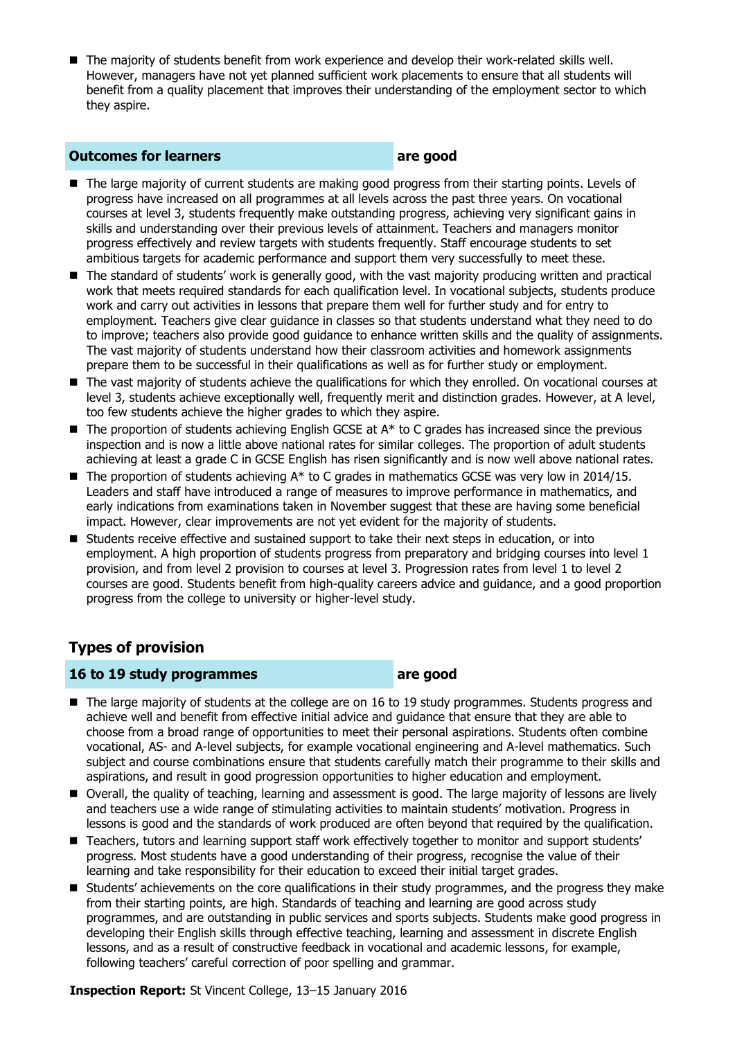The majority of students benefit from work experience and develop their work-related skills well. However, managers have not yet planned sufficient work placements to ensure that all students will benefit from a quality placement that improves their understanding of the employment sector to which they aspire.

#### **Outcomes for learners are good**

- The large majority of current students are making good progress from their starting points. Levels of progress have increased on all programmes at all levels across the past three years. On vocational courses at level 3, students frequently make outstanding progress, achieving very significant gains in skills and understanding over their previous levels of attainment. Teachers and managers monitor progress effectively and review targets with students frequently. Staff encourage students to set ambitious targets for academic performance and support them very successfully to meet these.
- The standard of students' work is generally good, with the vast majority producing written and practical work that meets required standards for each qualification level. In vocational subjects, students produce work and carry out activities in lessons that prepare them well for further study and for entry to employment. Teachers give clear guidance in classes so that students understand what they need to do to improve; teachers also provide good guidance to enhance written skills and the quality of assignments. The vast majority of students understand how their classroom activities and homework assignments prepare them to be successful in their qualifications as well as for further study or employment.
- The vast majority of students achieve the qualifications for which they enrolled. On vocational courses at level 3, students achieve exceptionally well, frequently merit and distinction grades. However, at A level, too few students achieve the higher grades to which they aspire.
- $\blacksquare$  The proportion of students achieving English GCSE at  $A^*$  to C grades has increased since the previous inspection and is now a little above national rates for similar colleges. The proportion of adult students achieving at least a grade C in GCSE English has risen significantly and is now well above national rates.
- $\blacksquare$  The proportion of students achieving A\* to C grades in mathematics GCSE was very low in 2014/15. Leaders and staff have introduced a range of measures to improve performance in mathematics, and early indications from examinations taken in November suggest that these are having some beneficial impact. However, clear improvements are not yet evident for the majority of students.
- Students receive effective and sustained support to take their next steps in education, or into employment. A high proportion of students progress from preparatory and bridging courses into level 1 provision, and from level 2 provision to courses at level 3. Progression rates from level 1 to level 2 courses are good. Students benefit from high-quality careers advice and guidance, and a good proportion progress from the college to university or higher-level study.

### **Types of provision**

#### **16 to 19 study programmes are good**

- The large majority of students at the college are on 16 to 19 study programmes. Students progress and achieve well and benefit from effective initial advice and guidance that ensure that they are able to choose from a broad range of opportunities to meet their personal aspirations. Students often combine vocational, AS- and A-level subjects, for example vocational engineering and A-level mathematics. Such subject and course combinations ensure that students carefully match their programme to their skills and aspirations, and result in good progression opportunities to higher education and employment.
- Overall, the quality of teaching, learning and assessment is good. The large majority of lessons are lively and teachers use a wide range of stimulating activities to maintain students' motivation. Progress in lessons is good and the standards of work produced are often beyond that required by the qualification.
- Teachers, tutors and learning support staff work effectively together to monitor and support students' progress. Most students have a good understanding of their progress, recognise the value of their learning and take responsibility for their education to exceed their initial target grades.
- **Students'** achievements on the core qualifications in their study programmes, and the progress they make from their starting points, are high. Standards of teaching and learning are good across study programmes, and are outstanding in public services and sports subjects. Students make good progress in developing their English skills through effective teaching, learning and assessment in discrete English lessons, and as a result of constructive feedback in vocational and academic lessons, for example, following teachers' careful correction of poor spelling and grammar.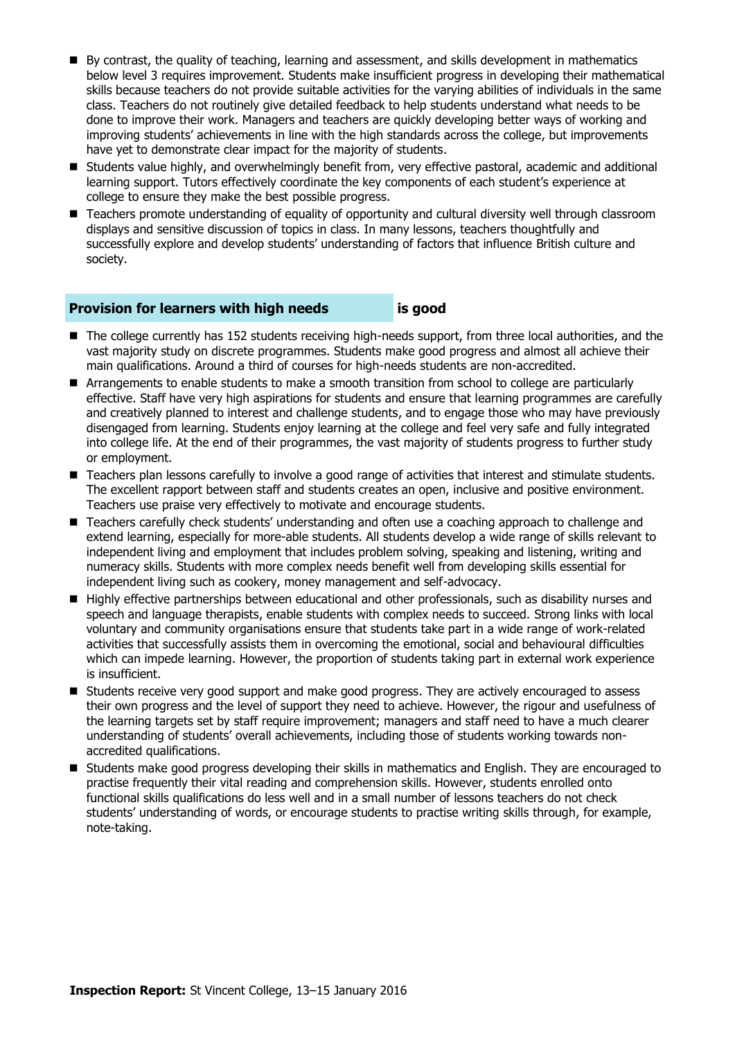- By contrast, the quality of teaching, learning and assessment, and skills development in mathematics below level 3 requires improvement. Students make insufficient progress in developing their mathematical skills because teachers do not provide suitable activities for the varying abilities of individuals in the same class. Teachers do not routinely give detailed feedback to help students understand what needs to be done to improve their work. Managers and teachers are quickly developing better ways of working and improving students' achievements in line with the high standards across the college, but improvements have yet to demonstrate clear impact for the majority of students.
- Students value highly, and overwhelmingly benefit from, very effective pastoral, academic and additional learning support. Tutors effectively coordinate the key components of each student's experience at college to ensure they make the best possible progress.
- Teachers promote understanding of equality of opportunity and cultural diversity well through classroom displays and sensitive discussion of topics in class. In many lessons, teachers thoughtfully and successfully explore and develop students' understanding of factors that influence British culture and society.

#### **Provision for learners with high needs is good**

- The college currently has 152 students receiving high-needs support, from three local authorities, and the vast majority study on discrete programmes. Students make good progress and almost all achieve their main qualifications. Around a third of courses for high-needs students are non-accredited.
- Arrangements to enable students to make a smooth transition from school to college are particularly effective. Staff have very high aspirations for students and ensure that learning programmes are carefully and creatively planned to interest and challenge students, and to engage those who may have previously disengaged from learning. Students enjoy learning at the college and feel very safe and fully integrated into college life. At the end of their programmes, the vast majority of students progress to further study or employment.
- Teachers plan lessons carefully to involve a good range of activities that interest and stimulate students. The excellent rapport between staff and students creates an open, inclusive and positive environment. Teachers use praise very effectively to motivate and encourage students.
- Teachers carefully check students' understanding and often use a coaching approach to challenge and extend learning, especially for more-able students. All students develop a wide range of skills relevant to independent living and employment that includes problem solving, speaking and listening, writing and numeracy skills. Students with more complex needs benefit well from developing skills essential for independent living such as cookery, money management and self-advocacy.
- Highly effective partnerships between educational and other professionals, such as disability nurses and speech and language therapists, enable students with complex needs to succeed. Strong links with local voluntary and community organisations ensure that students take part in a wide range of work-related activities that successfully assists them in overcoming the emotional, social and behavioural difficulties which can impede learning. However, the proportion of students taking part in external work experience is insufficient.
- **Students receive very good support and make good progress. They are actively encouraged to assess** their own progress and the level of support they need to achieve. However, the rigour and usefulness of the learning targets set by staff require improvement; managers and staff need to have a much clearer understanding of students' overall achievements, including those of students working towards nonaccredited qualifications.
- Students make good progress developing their skills in mathematics and English. They are encouraged to practise frequently their vital reading and comprehension skills. However, students enrolled onto functional skills qualifications do less well and in a small number of lessons teachers do not check students' understanding of words, or encourage students to practise writing skills through, for example, note-taking.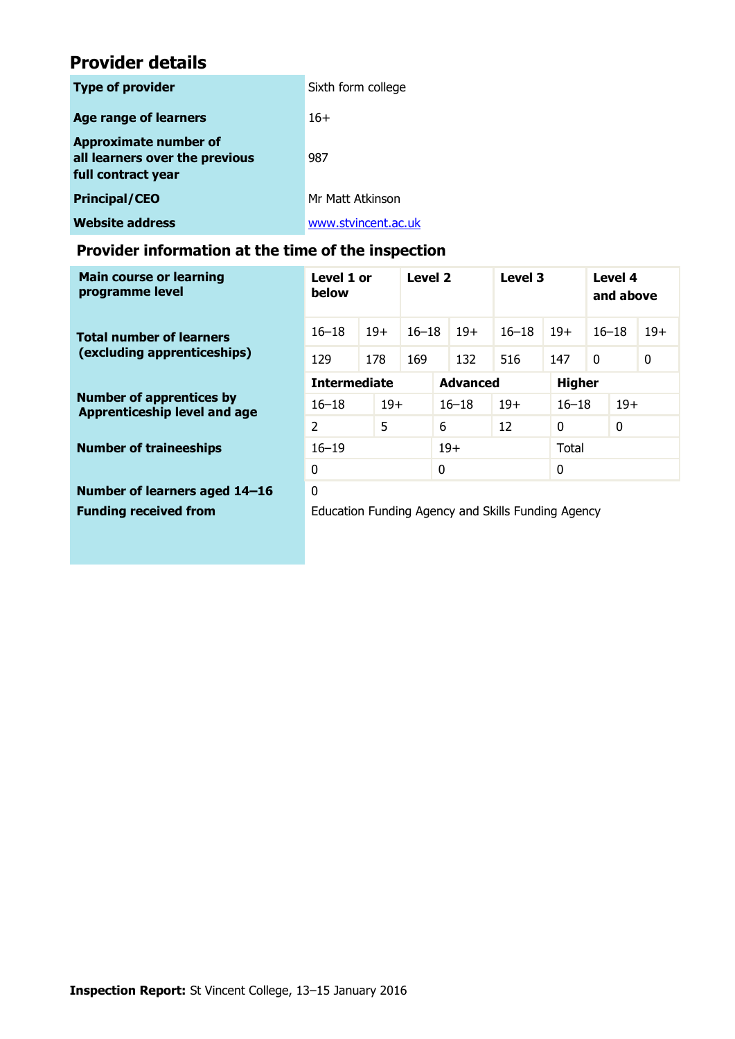## **Provider details**

| <b>Type of provider</b>                                                       | Sixth form college  |
|-------------------------------------------------------------------------------|---------------------|
| <b>Age range of learners</b>                                                  | $16+$               |
| Approximate number of<br>all learners over the previous<br>full contract year | 987                 |
| <b>Principal/CEO</b>                                                          | Mr Matt Atkinson    |
| <b>Website address</b>                                                        | www.stvincent.ac.uk |

### **Provider information at the time of the inspection**

| <b>Main course or learning</b><br>programme level                      | Level 1 or<br>below                                |       | Level 2   |                 | Level 3 |               | Level 4<br>and above |              |  |       |
|------------------------------------------------------------------------|----------------------------------------------------|-------|-----------|-----------------|---------|---------------|----------------------|--------------|--|-------|
| <b>Total number of learners</b><br>(excluding apprenticeships)         | $16 - 18$                                          | $19+$ | $16 - 18$ |                 | $19+$   | $16 - 18$     | $19+$                | $16 - 18$    |  | $19+$ |
|                                                                        | 129                                                | 178   |           | 169<br>132      |         | 516           | 147                  | $\mathbf{0}$ |  | 0     |
| <b>Number of apprentices by</b><br><b>Apprenticeship level and age</b> | <b>Intermediate</b>                                |       |           | <b>Advanced</b> |         | <b>Higher</b> |                      |              |  |       |
|                                                                        | $16 - 18$                                          | $19+$ |           | $16 - 18$       |         | $19+$         | $16 - 18$            | $19+$        |  |       |
|                                                                        | 5<br>$\overline{2}$                                |       |           | 6               |         | 12            | $\Omega$             | 0            |  |       |
| <b>Number of traineeships</b>                                          | $16 - 19$                                          |       | $19+$     |                 | Total   |               |                      |              |  |       |
|                                                                        | 0                                                  |       |           | $\Omega$        |         | $\mathbf{0}$  |                      |              |  |       |
| Number of learners aged 14-16                                          | $\Omega$                                           |       |           |                 |         |               |                      |              |  |       |
| <b>Funding received from</b>                                           | Education Funding Agency and Skills Funding Agency |       |           |                 |         |               |                      |              |  |       |
|                                                                        |                                                    |       |           |                 |         |               |                      |              |  |       |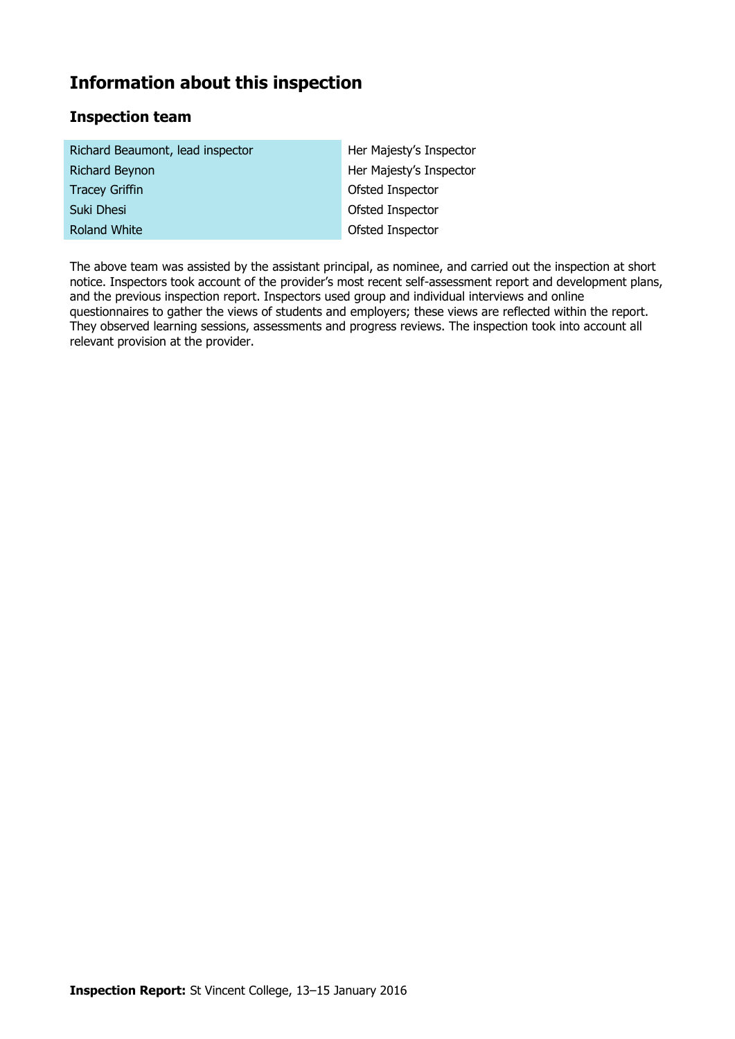### **Information about this inspection**

### **Inspection team**

| Richard Beaumont, lead inspector | Her Majesty's Inspector |
|----------------------------------|-------------------------|
| <b>Richard Beynon</b>            | Her Majesty's Inspector |
| <b>Tracey Griffin</b>            | Ofsted Inspector        |
| Suki Dhesi                       | Ofsted Inspector        |
| <b>Roland White</b>              | Ofsted Inspector        |

The above team was assisted by the assistant principal, as nominee, and carried out the inspection at short notice. Inspectors took account of the provider's most recent self-assessment report and development plans, and the previous inspection report. Inspectors used group and individual interviews and online questionnaires to gather the views of students and employers; these views are reflected within the report. They observed learning sessions, assessments and progress reviews. The inspection took into account all relevant provision at the provider.